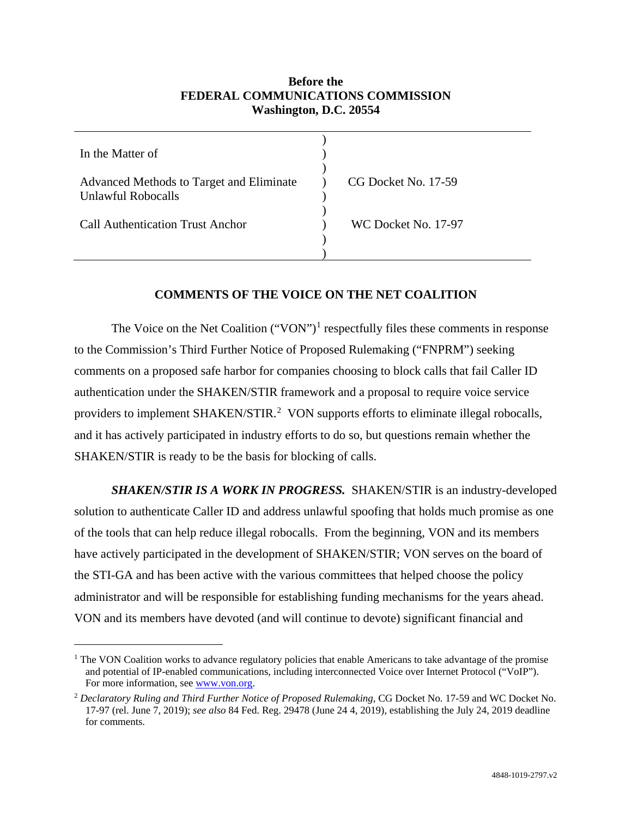## **Before the FEDERAL COMMUNICATIONS COMMISSION Washington, D.C. 20554**

| In the Matter of                                                      |                     |
|-----------------------------------------------------------------------|---------------------|
| Advanced Methods to Target and Eliminate<br><b>Unlawful Robocalls</b> | CG Docket No. 17-59 |
| <b>Call Authentication Trust Anchor</b>                               | WC Docket No. 17-97 |
|                                                                       |                     |

## **COMMENTS OF THE VOICE ON THE NET COALITION**

The Voice on the Net Coalition ("VON")<sup>[1](#page-0-0)</sup> respectfully files these comments in response to the Commission's Third Further Notice of Proposed Rulemaking ("FNPRM") seeking comments on a proposed safe harbor for companies choosing to block calls that fail Caller ID authentication under the SHAKEN/STIR framework and a proposal to require voice service providers to implement SHAKEN/STIR.<sup>[2](#page-0-1)</sup> VON supports efforts to eliminate illegal robocalls, and it has actively participated in industry efforts to do so, but questions remain whether the SHAKEN/STIR is ready to be the basis for blocking of calls.

*SHAKEN/STIR IS A WORK IN PROGRESS.* SHAKEN/STIR is an industry-developed solution to authenticate Caller ID and address unlawful spoofing that holds much promise as one of the tools that can help reduce illegal robocalls. From the beginning, VON and its members have actively participated in the development of SHAKEN/STIR; VON serves on the board of the STI-GA and has been active with the various committees that helped choose the policy administrator and will be responsible for establishing funding mechanisms for the years ahead. VON and its members have devoted (and will continue to devote) significant financial and

<span id="page-0-0"></span><sup>&</sup>lt;sup>1</sup> The VON Coalition works to advance regulatory policies that enable Americans to take advantage of the promise and potential of IP-enabled communications, including interconnected Voice over Internet Protocol ("VoIP"). For more information, se[e www.von.org.](http://www.von.org/)

<span id="page-0-1"></span><sup>&</sup>lt;sup>2</sup> Declaratory Ruling and Third Further Notice of Proposed Rulemaking, CG Docket No. 17-59 and WC Docket No. 17-97 (rel. June 7, 2019); *see also* 84 Fed. Reg. 29478 (June 24 4, 2019), establishing the July 24, 2019 deadline for comments.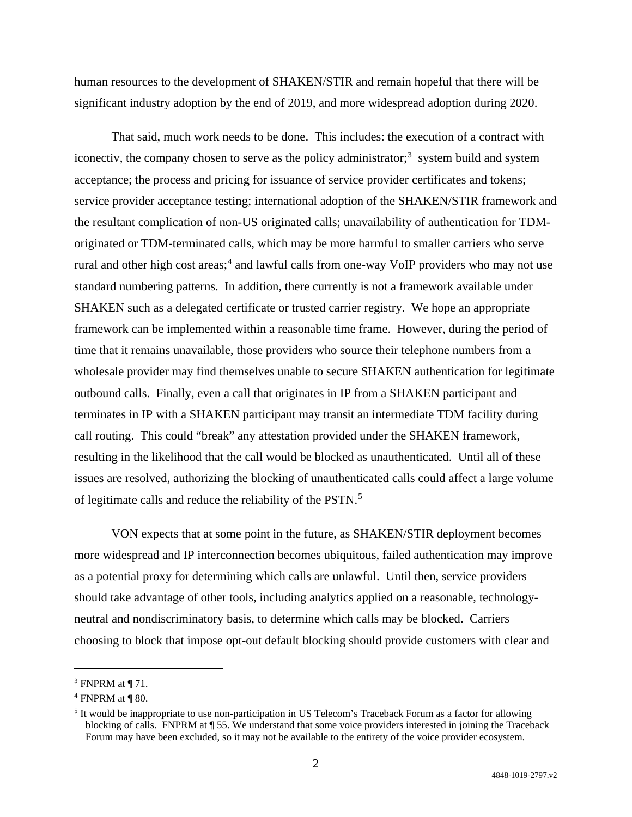human resources to the development of SHAKEN/STIR and remain hopeful that there will be significant industry adoption by the end of 2019, and more widespread adoption during 2020.

That said, much work needs to be done. This includes: the execution of a contract with iconectiv, the company chosen to serve as the policy administrator;<sup>[3](#page-1-0)</sup> system build and system acceptance; the process and pricing for issuance of service provider certificates and tokens; service provider acceptance testing; international adoption of the SHAKEN/STIR framework and the resultant complication of non-US originated calls; unavailability of authentication for TDMoriginated or TDM-terminated calls, which may be more harmful to smaller carriers who serve rural and other high cost areas; [4](#page-1-1) and lawful calls from one-way VoIP providers who may not use standard numbering patterns. In addition, there currently is not a framework available under SHAKEN such as a delegated certificate or trusted carrier registry. We hope an appropriate framework can be implemented within a reasonable time frame. However, during the period of time that it remains unavailable, those providers who source their telephone numbers from a wholesale provider may find themselves unable to secure SHAKEN authentication for legitimate outbound calls. Finally, even a call that originates in IP from a SHAKEN participant and terminates in IP with a SHAKEN participant may transit an intermediate TDM facility during call routing. This could "break" any attestation provided under the SHAKEN framework, resulting in the likelihood that the call would be blocked as unauthenticated. Until all of these issues are resolved, authorizing the blocking of unauthenticated calls could affect a large volume of legitimate calls and reduce the reliability of the PSTN.<sup>[5](#page-1-2)</sup>

VON expects that at some point in the future, as SHAKEN/STIR deployment becomes more widespread and IP interconnection becomes ubiquitous, failed authentication may improve as a potential proxy for determining which calls are unlawful. Until then, service providers should take advantage of other tools, including analytics applied on a reasonable, technologyneutral and nondiscriminatory basis, to determine which calls may be blocked. Carriers choosing to block that impose opt-out default blocking should provide customers with clear and

<span id="page-1-0"></span> $3$  FNPRM at ¶ 71.

<span id="page-1-1"></span> $4$  FNPRM at  $\P$  80.

<span id="page-1-2"></span><sup>5</sup> It would be inappropriate to use non-participation in US Telecom's Traceback Forum as a factor for allowing blocking of calls. FNPRM at ¶ 55. We understand that some voice providers interested in joining the Traceback Forum may have been excluded, so it may not be available to the entirety of the voice provider ecosystem.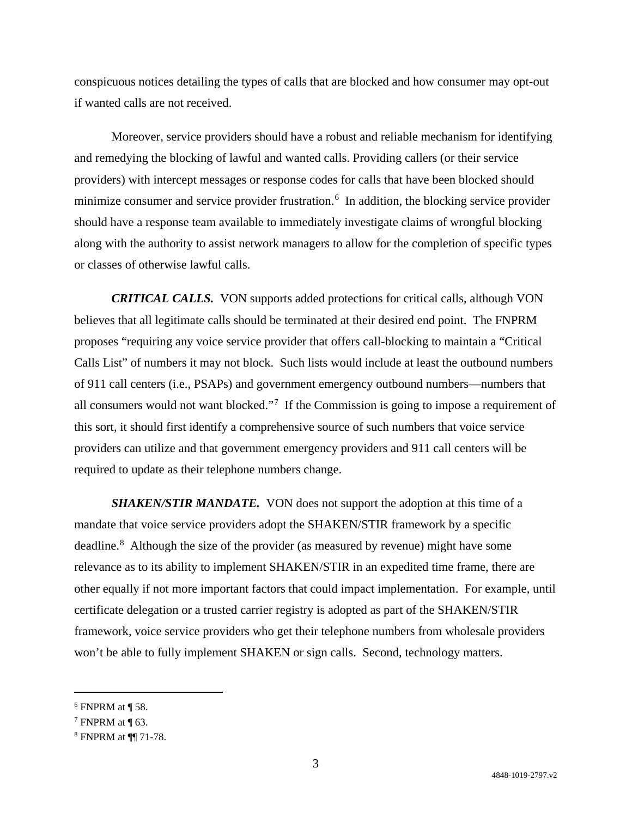conspicuous notices detailing the types of calls that are blocked and how consumer may opt-out if wanted calls are not received.

Moreover, service providers should have a robust and reliable mechanism for identifying and remedying the blocking of lawful and wanted calls. Providing callers (or their service providers) with intercept messages or response codes for calls that have been blocked should minimize consumer and service provider frustration.<sup>[6](#page-2-0)</sup> In addition, the blocking service provider should have a response team available to immediately investigate claims of wrongful blocking along with the authority to assist network managers to allow for the completion of specific types or classes of otherwise lawful calls.

*CRITICAL CALLS.* VON supports added protections for critical calls, although VON believes that all legitimate calls should be terminated at their desired end point. The FNPRM proposes "requiring any voice service provider that offers call-blocking to maintain a "Critical Calls List" of numbers it may not block. Such lists would include at least the outbound numbers of 911 call centers (i.e., PSAPs) and government emergency outbound numbers—numbers that all consumers would not want blocked."<sup>[7](#page-2-1)</sup> If the Commission is going to impose a requirement of this sort, it should first identify a comprehensive source of such numbers that voice service providers can utilize and that government emergency providers and 911 call centers will be required to update as their telephone numbers change.

*SHAKEN/STIR MANDATE.* VON does not support the adoption at this time of a mandate that voice service providers adopt the SHAKEN/STIR framework by a specific deadline.<sup>[8](#page-2-2)</sup> Although the size of the provider (as measured by revenue) might have some relevance as to its ability to implement SHAKEN/STIR in an expedited time frame, there are other equally if not more important factors that could impact implementation. For example, until certificate delegation or a trusted carrier registry is adopted as part of the SHAKEN/STIR framework, voice service providers who get their telephone numbers from wholesale providers won't be able to fully implement SHAKEN or sign calls. Second, technology matters.

<span id="page-2-0"></span> $6$  FNPRM at ¶ 58.

<span id="page-2-1"></span> $7$  FNPRM at  $\P$  63.

<span id="page-2-2"></span><sup>8</sup> FNPRM at ¶¶ 71-78.